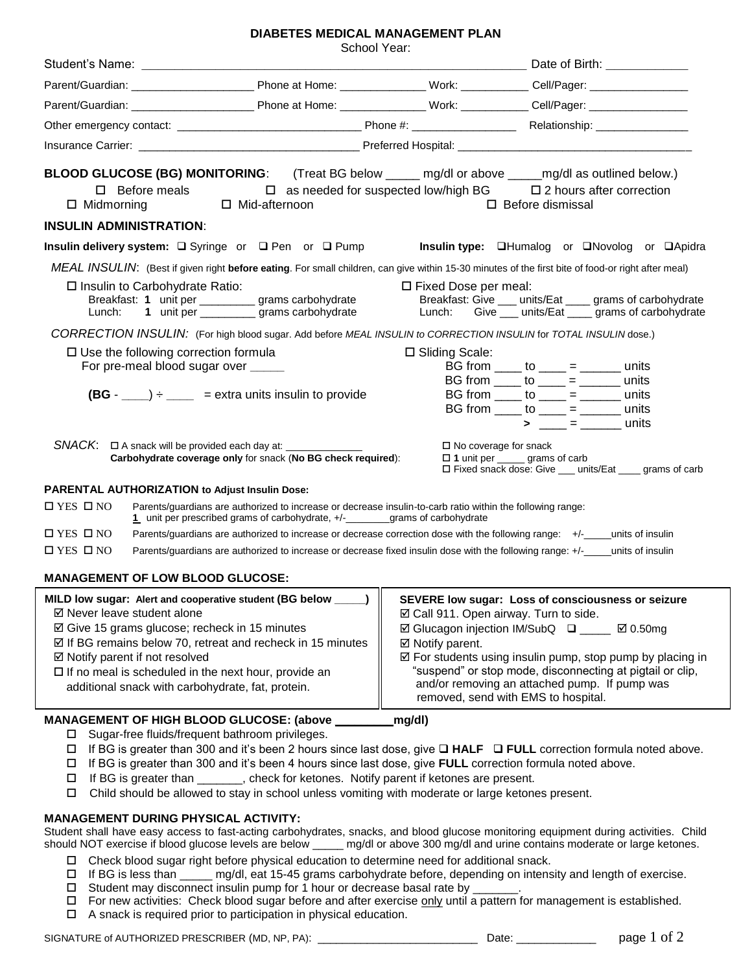## **DIABETES MEDICAL MANAGEMENT PLAN**

School Year:

|                                                                                                                                                                                                                                                                                                                                                                                          |                                                                               |                                                                                                                                                                                                                                                                                                            | Scribol rear:                                                                                                                                                                                                                                                                                                                                                                                          |                                                                                                                                                                                                                                      |  |  |
|------------------------------------------------------------------------------------------------------------------------------------------------------------------------------------------------------------------------------------------------------------------------------------------------------------------------------------------------------------------------------------------|-------------------------------------------------------------------------------|------------------------------------------------------------------------------------------------------------------------------------------------------------------------------------------------------------------------------------------------------------------------------------------------------------|--------------------------------------------------------------------------------------------------------------------------------------------------------------------------------------------------------------------------------------------------------------------------------------------------------------------------------------------------------------------------------------------------------|--------------------------------------------------------------------------------------------------------------------------------------------------------------------------------------------------------------------------------------|--|--|
|                                                                                                                                                                                                                                                                                                                                                                                          |                                                                               |                                                                                                                                                                                                                                                                                                            |                                                                                                                                                                                                                                                                                                                                                                                                        |                                                                                                                                                                                                                                      |  |  |
|                                                                                                                                                                                                                                                                                                                                                                                          |                                                                               |                                                                                                                                                                                                                                                                                                            |                                                                                                                                                                                                                                                                                                                                                                                                        |                                                                                                                                                                                                                                      |  |  |
|                                                                                                                                                                                                                                                                                                                                                                                          |                                                                               |                                                                                                                                                                                                                                                                                                            |                                                                                                                                                                                                                                                                                                                                                                                                        |                                                                                                                                                                                                                                      |  |  |
|                                                                                                                                                                                                                                                                                                                                                                                          |                                                                               |                                                                                                                                                                                                                                                                                                            |                                                                                                                                                                                                                                                                                                                                                                                                        |                                                                                                                                                                                                                                      |  |  |
|                                                                                                                                                                                                                                                                                                                                                                                          |                                                                               |                                                                                                                                                                                                                                                                                                            |                                                                                                                                                                                                                                                                                                                                                                                                        |                                                                                                                                                                                                                                      |  |  |
| $\Box$ Midmorning                                                                                                                                                                                                                                                                                                                                                                        | $\Box$ Before meals                                                           | □ Mid-afternoon                                                                                                                                                                                                                                                                                            |                                                                                                                                                                                                                                                                                                                                                                                                        | <b>BLOOD GLUCOSE (BG) MONITORING:</b> (Treat BG below _____ mg/dl or above _____mg/dl as outlined below.)<br>$\Box$ as needed for suspected low/high BG $\Box$ 2 hours after correction<br>□ Before dismissal                        |  |  |
|                                                                                                                                                                                                                                                                                                                                                                                          | <b>INSULIN ADMINISTRATION:</b>                                                |                                                                                                                                                                                                                                                                                                            |                                                                                                                                                                                                                                                                                                                                                                                                        |                                                                                                                                                                                                                                      |  |  |
|                                                                                                                                                                                                                                                                                                                                                                                          |                                                                               | Insulin delivery system: □ Syringe or □ Pen or □ Pump                                                                                                                                                                                                                                                      |                                                                                                                                                                                                                                                                                                                                                                                                        | Insulin type: <b>QHumalog</b> or <b>QNovolog</b> or <b>QApidra</b>                                                                                                                                                                   |  |  |
|                                                                                                                                                                                                                                                                                                                                                                                          |                                                                               |                                                                                                                                                                                                                                                                                                            |                                                                                                                                                                                                                                                                                                                                                                                                        | MEAL INSULIN: (Best if given right before eating. For small children, can give within 15-30 minutes of the first bite of food-or right after meal)                                                                                   |  |  |
| Lunch:                                                                                                                                                                                                                                                                                                                                                                                   | □ Insulin to Carbohydrate Ratio:                                              | Breakfast: 1 unit per __________ grams carbohydrate<br>1 unit per ___________ grams carbohydrate                                                                                                                                                                                                           | $\Box$ Fixed Dose per meal:<br>Breakfast: Give ___ units/Eat ____ grams of carbohydrate<br>Lunch: Give ___ units/Eat ____ grams of carbohydrate                                                                                                                                                                                                                                                        |                                                                                                                                                                                                                                      |  |  |
|                                                                                                                                                                                                                                                                                                                                                                                          |                                                                               |                                                                                                                                                                                                                                                                                                            |                                                                                                                                                                                                                                                                                                                                                                                                        | CORRECTION INSULIN: (For high blood sugar. Add before MEAL INSULIN to CORRECTION INSULIN for TOTAL INSULIN dose.)                                                                                                                    |  |  |
|                                                                                                                                                                                                                                                                                                                                                                                          | □ Use the following correction formula<br>For pre-meal blood sugar over _____ | $(BG - ) \div$ = extra units insulin to provide                                                                                                                                                                                                                                                            | □ Sliding Scale:                                                                                                                                                                                                                                                                                                                                                                                       | BG from _____ to ____ = _______ units<br>BG from _____ to ____ = _______ units<br>BG from _____ to ____ = _______ units<br>BG from $\frac{\ }{}$ to $\frac{\ }{}$ = $\frac{\ }{}$ = $\frac{\ }{}$ units<br>$>$ ____ = ________ units |  |  |
|                                                                                                                                                                                                                                                                                                                                                                                          |                                                                               | Carbohydrate coverage only for snack (No BG check required):                                                                                                                                                                                                                                               |                                                                                                                                                                                                                                                                                                                                                                                                        | □ No coverage for snack<br>□ 1 unit per _____ grams of carb<br>□ Fixed snack dose: Give __ units/Eat ___ grams of carb                                                                                                               |  |  |
|                                                                                                                                                                                                                                                                                                                                                                                          | <b>PARENTAL AUTHORIZATION to Adjust Insulin Dose:</b>                         |                                                                                                                                                                                                                                                                                                            |                                                                                                                                                                                                                                                                                                                                                                                                        |                                                                                                                                                                                                                                      |  |  |
| $\Box$ YES $\Box$ NO                                                                                                                                                                                                                                                                                                                                                                     |                                                                               | Parents/guardians are authorized to increase or decrease insulin-to-carb ratio within the following range:<br>1 unit per prescribed grams of carbohydrate, +/-_________grams of carbohydrate                                                                                                               |                                                                                                                                                                                                                                                                                                                                                                                                        |                                                                                                                                                                                                                                      |  |  |
| $\Box$ YES $\Box$ NO                                                                                                                                                                                                                                                                                                                                                                     |                                                                               |                                                                                                                                                                                                                                                                                                            |                                                                                                                                                                                                                                                                                                                                                                                                        | Parents/guardians are authorized to increase or decrease correction dose with the following range: +/-_____units of insulin                                                                                                          |  |  |
| $\square$ YES $\square$ NO                                                                                                                                                                                                                                                                                                                                                               |                                                                               |                                                                                                                                                                                                                                                                                                            |                                                                                                                                                                                                                                                                                                                                                                                                        | Parents/guardians are authorized to increase or decrease fixed insulin dose with the following range: +/-_____units of insulin                                                                                                       |  |  |
|                                                                                                                                                                                                                                                                                                                                                                                          | <b>MANAGEMENT OF LOW BLOOD GLUCOSE:</b>                                       |                                                                                                                                                                                                                                                                                                            |                                                                                                                                                                                                                                                                                                                                                                                                        |                                                                                                                                                                                                                                      |  |  |
| MILD low sugar: Alert and cooperative student (BG below ____)<br>☑ Never leave student alone<br>$\boxtimes$ Give 15 grams glucose; recheck in 15 minutes<br>$\boxtimes$ If BG remains below 70, retreat and recheck in 15 minutes<br>☑ Notify parent if not resolved<br>$\Box$ If no meal is scheduled in the next hour, provide an<br>additional snack with carbohydrate, fat, protein. |                                                                               |                                                                                                                                                                                                                                                                                                            | SEVERE low sugar: Loss of consciousness or seizure<br>☑ Call 911. Open airway. Turn to side.<br>☑ Glucagon injection IM/SubQ □ ___ Ø 0.50mg<br>$\boxtimes$ Notify parent.<br>$\boxtimes$ For students using insulin pump, stop pump by placing in<br>"suspend" or stop mode, disconnecting at pigtail or clip,<br>and/or removing an attached pump. If pump was<br>removed, send with EMS to hospital. |                                                                                                                                                                                                                                      |  |  |
|                                                                                                                                                                                                                                                                                                                                                                                          |                                                                               | MANAGEMENT OF HIGH BLOOD GLUCOSE: (above _                                                                                                                                                                                                                                                                 | mg/dl)                                                                                                                                                                                                                                                                                                                                                                                                 |                                                                                                                                                                                                                                      |  |  |
| □<br>$\Box$<br>$\Box$<br>$\Box$<br>□                                                                                                                                                                                                                                                                                                                                                     | Sugar-free fluids/frequent bathroom privileges.                               | If BG is greater than 300 and it's been 4 hours since last dose, give FULL correction formula noted above.<br>If BG is greater than _______, check for ketones. Notify parent if ketones are present.<br>Child should be allowed to stay in school unless vomiting with moderate or large ketones present. |                                                                                                                                                                                                                                                                                                                                                                                                        | If BG is greater than 300 and it's been 2 hours since last dose, give $\Box$ HALF $\Box$ FULL correction formula noted above.                                                                                                        |  |  |
|                                                                                                                                                                                                                                                                                                                                                                                          | <b>MANAGEMENT DURING PHYSICAL ACTIVITY:</b>                                   |                                                                                                                                                                                                                                                                                                            |                                                                                                                                                                                                                                                                                                                                                                                                        |                                                                                                                                                                                                                                      |  |  |

Student shall have easy access to fast-acting carbohydrates, snacks, and blood glucose monitoring equipment during activities. Child should NOT exercise if blood glucose levels are below \_\_\_\_\_ mg/dl or above 300 mg/dl and urine contains moderate or large ketones.

- Check blood sugar right before physical education to determine need for additional snack.
- If BG is less than \_\_\_\_\_ mg/dl, eat 15-45 grams carbohydrate before, depending on intensity and length of exercise.
- $\square$  Student may disconnect insulin pump for 1 hour or decrease basal rate by  $\square$
- □ For new activities: Check blood sugar before and after exercise only until a pattern for management is established.
- $\Box$  A snack is required prior to participation in physical education.

SIGNATURE of AUTHORIZED PRESCRIBER (MD, NP, PA): \_\_\_\_\_\_\_\_\_\_\_\_\_\_\_\_\_\_\_\_\_\_\_\_\_\_\_\_\_\_\_\_ Date: \_\_\_\_\_\_\_\_\_\_\_\_\_\_\_\_\_\_\_ page 1 of 2